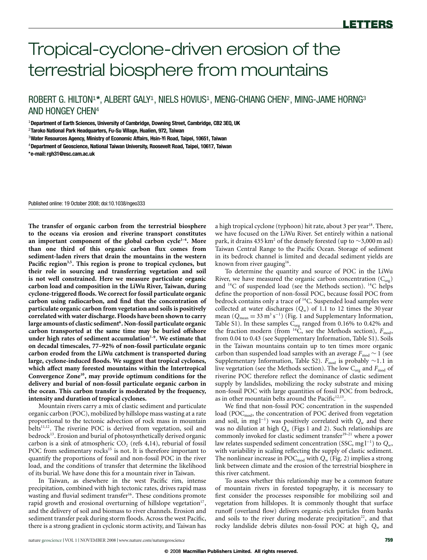# Tropical-cyclone-driven erosion of the terrestrial biosphere from mountains

ROBERT G. HILTON<sup>1</sup>\*, ALBERT GALY<sup>1</sup>, NIELS HOVIUS<sup>1</sup>, MENG-CHIANG CHEN<sup>2</sup>, MING-JAME HORNG<sup>3</sup> AND HONGEY CHEN<sup>4</sup>

<sup>1</sup>**Department of Earth Sciences, University of Cambridge, Downing Street, Cambridge, CB2 3EQ, UK**

2 **Taroko National Park Headquarters, Fu-Su Village, Hualien, 972, Taiwan**

<sup>3</sup>**Water Resources Agency, Ministry of Economic Affairs, Hsin-Yi Road, Taipei, 10651, Taiwan**

<sup>4</sup>**Department of Geoscience, National Taiwan University, Roosevelt Road, Taipei, 10617, Taiwan**

**\*e-mail: [rgh31@esc.cam.ac.uk](mailto:rgh31@esc.cam.ac.uk)**

Published online: 19 October 2008; doi[:10.1038/ngeo333](http://www.nature.com/doifinder/10.1038/ngeo333)

**The transfer of organic carbon from the terrestrial biosphere to the oceans via erosion and riverine transport constitutes an important component of the global carbon cycle[1](#page-3-0)[–4](#page-3-1). More than one third of this organic carbon flux comes from sediment-laden rivers that drain the mountains in the western Pacific region[3,](#page-3-2)[5](#page-3-3). This region is prone to tropical cyclones, but their role in sourcing and transferring vegetation and soil is not well constrained. Here we measure particulate organic carbon load and composition in the LiWu River, Taiwan, during cyclone-triggered floods. We correct for fossil particulate organic carbon using radiocarbon, and find that the concentration of particulate organic carbon from vegetation and soils is positively correlated with water discharge. Floods have been shown to carry large amounts of clastic sediment[6](#page-3-4) . Non-fossil particulate organic carbon transported at the same time may be buried offshore under high rates of sediment accumulation[7](#page-3-5)[–9](#page-3-6). We estimate that on decadal timescales, 77–92% of non-fossil particulate organic carbon eroded from the LiWu catchment is transported during large, cyclone-induced floods. We suggest that tropical cyclones, which affect many forested mountains within the Intertropical Convergence Zone[10](#page-3-7), may provide optimum conditions for the delivery and burial of non-fossil particulate organic carbon in the ocean. This carbon transfer is moderated by the frequency, intensity and duration of tropical cyclones.**

Mountain rivers carry a mix of clastic sediment and particulate organic carbon (POC), mobilized by hillslope mass wasting at a rate proportional to the tectonic advection of rock mass in mountain belts<sup>[11,](#page-3-8)[12](#page-3-9)</sup>. The riverine POC is derived from vegetation, soil and bedrock<sup>[13](#page-3-10)</sup>. Erosion and burial of photosynthetically derived organic carbon is a sink of atmospheric  $CO<sub>2</sub>$  (refs [4](#page-3-1)[,14\)](#page-3-11), reburial of fossil POC from sedimentary rocks<sup>[15](#page-3-12)</sup> is not. It is therefore important to quantify the proportions of fossil and non-fossil POC in the river load, and the conditions of transfer that determine the likelihood of its burial. We have done this for a mountain river in Taiwan.

In Taiwan, as elsewhere in the west Pacific rim, intense precipitation, combined with high tectonic rates, drives rapid mass wasting and fluvial sediment transfer<sup>[16](#page-3-13)</sup>. These conditions promote rapid growth and erosional overturning of hillslope vegetation<sup>[17](#page-3-14)</sup>, and the delivery of soil and biomass to river channels. Erosion and sediment transfer peak during storm floods. Across the west Pacific, there is a strong gradient in cyclonic storm activity, and Taiwan has a high tropical cyclone (typhoon) hit rate, about 3 per year<sup>[18](#page-3-15)</sup>. There, we have focused on the LiWu River. Set entirely within a national park, it drains 435 km<sup>2</sup> of the densely forested (up to ∼3,000 m asl) Taiwan Central Range to the Pacific Ocean. Storage of sediment in its bedrock channel is limited and decadal sediment yields are known from river gauging<sup>[16](#page-3-13)</sup>.

To determine the quantity and source of POC in the LiWu River, we have measured the organic carbon concentration  $(C_{org})$ and  $^{14}$ C of suspended load (see the Methods section).  $^{14}$ C helps define the proportion of non-fossil POC, because fossil POC from bedrock contains only a trace of <sup>14</sup>C. Suspended load samples were collected at water discharges (*Q*w) of 1.1 to 12 times the 30 year mean ( $Q_{mean} = 33 \text{ m}^3 \text{ s}^{-1}$ ) [\(Fig. 1](#page-1-0) and Supplementary Information, Table S1). In these samples  $C_{org}$  ranged from 0.16% to 0.42% and the fraction modern (from <sup>14</sup>C, see the Methods section),  $F_{\text{mod}}$ , from 0.04 to 0.43 (see Supplementary Information, Table S1). Soils in the Taiwan mountains contain up to ten times more organic carbon than suspended load samples with an average *F*<sub>mod</sub> ~ 1 (see Supplementary Information, Table S2). *F*<sub>mod</sub> is probably ∼1.1 in live vegetation (see the Methods section). The low C<sub>org</sub> and  $F_{\text{mod}}$  of riverine POC therefore reflect the dominance of clastic sediment supply by landslides, mobilizing the rocky substrate and mixing non-fossil POC with large quantities of fossil POC from bedrock, as in other mountain belts around the Pacific $12,13$  $12,13$ .

We find that non-fossil POC concentration in the suspended load (PO $C_{\text{mod}}$ , the concentration of POC derived from vegetation and soil, in mg l<sup>−</sup><sup>1</sup> ) was positively correlated with *Q*<sup>w</sup> and there was no dilution at high *Q*<sup>w</sup> [\(Figs 1](#page-1-0) and [2\)](#page-1-1). Such relationships are commonly invoked for clastic sediment transfer<sup>19-[21](#page-3-17)</sup> where a power law relates suspended sediment concentration (SSC, mg l<sup>−</sup><sup>1</sup> ) to *Q*w, with variability in scaling reflecting the supply of clastic sediment. The nonlinear increase in POC<sub>mod</sub> with  $Q_w$  [\(Fig. 2\)](#page-1-1) implies a strong link between climate and the erosion of the terrestrial biosphere in this river catchment.

To assess whether this relationship may be a common feature of mountain rivers in forested topography, it is necessary to first consider the processes responsible for mobilizing soil and vegetation from hillslopes. It is commonly thought that surface runoff (overland flow) delivers organic-rich particles from banks and soils to the river during moderate precipitation<sup>[22](#page-3-18)</sup>, and that rocky landslide debris dilutes non-fossil POC at high *Q*<sup>w</sup> and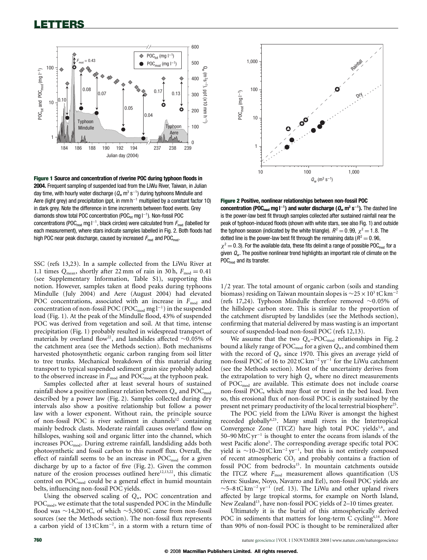## LETTERS



<span id="page-1-0"></span>Figure 1 **Source and concentration of riverine POC during typhoon floods in 2004.** Frequent sampling of suspended load from the LiWu River, Taiwan, in Julian day time, with hourly water discharge  $(Q_w \text{ m}^3 \text{ s}^{-1})$  during typhoons Mindulle and Aere (light grey) and precipitation (ppt, in mm h<sup>-1</sup> multiplied by a constant factor 10) in dark grey. Note the difference in time increments between flood events. Grey diamonds show total POC concentration (POC<sub>tot</sub> mg l<sup>-1</sup>). Non-fossil POC concentrations (POC<sub>mod</sub> mg l<sup>−1</sup>, black circles) were calculated from F<sub>mod</sub> (labelled for each measurement), where stars indicate samples labelled in Fig. 2. Both floods had high POC near peak discharge, caused by increased  $F_{mod}$  and POC<sub>mod</sub>.

SSC (refs [13,](#page-3-10)[23\)](#page-3-19). In a sample collected from the LiWu River at 1.1 times  $Q_{\text{mean}}$ , shortly after 22 mm of rain in 30 h,  $F_{\text{mod}} = 0.41$ (see Supplementary Information, Table S1), supporting this notion. However, samples taken at flood peaks during typhoons Mindulle (July 2004) and Aere (August 2004) had elevated POC concentrations, associated with an increase in  $F_{mod}$  and concentration of non-fossil POC (POC<sub>mod</sub> mg l<sup>-1</sup>) in the suspended load [\(Fig. 1\)](#page-1-0). At the peak of the Mindulle flood, 43% of suspended POC was derived from vegetation and soil. At that time, intense precipitation [\(Fig. 1\)](#page-1-0) probably resulted in widespread transport of materials by overland flow<sup>[22](#page-3-18)</sup>, and landslides affected ~0.05% of the catchment area (see the Methods section). Both mechanisms harvested photosynthetic organic carbon ranging from soil litter to tree trunks. Mechanical breakdown of this material during transport to typical suspended sediment grain size probably added to the observed increase in  $F_{\text{mod}}$  and POC<sub>mod</sub> at the typhoon peak.

Samples collected after at least several hours of sustained rainfall show a positive nonlinear relation between  $Q_w$  and POC<sub>mod</sub> described by a power law [\(Fig. 2\)](#page-1-1). Samples collected during dry intervals also show a positive relationship but follow a power law with a lower exponent. Without rain, the principle source of non-fossil POC is river sediment in channels<sup>[12](#page-3-9)</sup> containing mainly bedrock clasts. Moderate rainfall causes overland flow on hillslopes, washing soil and organic litter into the channel, which increases POC<sub>mod</sub>. During extreme rainfall, landsliding adds both photosynthetic and fossil carbon to this runoff flux. Overall, the effect of rainfall seems to be an increase in  $POC_{mod}$  for a given discharge by up to a factor of five [\(Fig. 2\)](#page-1-1). Given the common nature of the erosion processes outlined here<sup>[12,](#page-3-9)[13](#page-3-10)[,22](#page-3-18)</sup>, this climatic control on POC<sub>mod</sub> could be a general effect in humid mountain belts, influencing non-fossil POC yields.

Using the observed scaling of *Q*w, POC concentration and  $POC_{\text{mod}}$ , we estimate that the total suspended POC in the Mindulle flood was ∼14,200 tC, of which ∼5,500 tC came from non-fossil sources (see the Methods section). The non-fossil flux represents a carbon yield of 13 tC km<sup>−</sup><sup>2</sup> , in a storm with a return time of



<span id="page-1-1"></span>Figure 2 **Positive, nonlinear relationships between non-fossil POC concentration (POCmod mg l**<sup>−</sup>**<sup>1</sup> ) and water discharge (Q<sup>w</sup> m 3 s** −**1 ).** The dashed line is the power-law best fit through samples collected after sustained rainfall near the peak of typhoon-induced floods (shown with white stars, see also Fig. 1) and outside the typhoon season (indicated by the white triangle).  $R^2 = 0.99$ ,  $\chi^2 = 1.8$ . The dotted line is the power-law best fit through the remaining data ( $R^2 = 0.96$ ,  $\chi^2$  = 0.3). For the available data, these fits delimit a range of possible POC<sub>mod</sub> for a given  $Q<sub>w</sub>$ . The positive nonlinear trend highlights an important role of climate on the POC<sub>mod</sub> and its transfer.

1/2 year. The total amount of organic carbon (soils and standing biomass) residing on Taiwan mountain slopes is  $\sim$ 25 × 10<sup>3</sup> tC km<sup>-2</sup> (refs [17](#page-3-14)[,24\)](#page-3-20). Typhoon Mindulle therefore removed ∼0.05% of the hillslope carbon store. This is similar to the proportion of the catchment disrupted by landslides (see the Methods section), confirming that material delivered by mass wasting is an important source of suspended-load non-fossil POC (refs [12](#page-3-9)[,13\)](#page-3-10).

We assume that the two  $Q_w$ –POC<sub>mod</sub> relationships in [Fig. 2](#page-1-1) bound a likely range of POC<sub>mod</sub> for a given  $Q_w$ , and combined them with the record of  $Q_w$  since 1970. This gives an average yield of non-fossil POC of 16 to 202 tCkm<sup>-2</sup> yr<sup>-1</sup> for the LiWu catchment (see the Methods section). Most of the uncertainty derives from the extrapolation to very high  $Q_w$  where no direct measurements of POC<sub>mod</sub> are available. This estimate does not include coarse non-fossil POC, which may float or travel in the bed load. Even so, this erosional flux of non-fossil POC is easily sustained by the present net primary productivity of the local terrestrial biosphere<sup>[25](#page-3-21)</sup>.

The POC yield from the LiWu River is amongst the highest recorded globally<sup>[4](#page-3-1)[,23](#page-3-19)</sup>. Many small rivers in the Intertropical Convergence Zone (ITCZ) have high total POC yields<sup>[3,](#page-3-2)[4](#page-3-1)</sup>, and 50–90 MtC yr<sup>−</sup><sup>1</sup> is thought to enter the oceans from islands of the west Pacific alone<sup>[5](#page-3-3)</sup>. The corresponding average specific total POC yield is  $\sim$ 10–20 tC km<sup>-2</sup> yr<sup>-1</sup>, but this is not entirely composed of recent atmospheric  $CO<sub>2</sub>$  and probably contains a fraction of fossil POC from bedrocks<sup>[15](#page-3-12)</sup>. In mountain catchments outside the ITCZ where  $F_{\text{mod}}$  measurement allows quantification (US rivers: Siuslaw, Noyo, Navarro and Eel), non-fossil POC yields are  $\sim$ 5–8 tC km<sup>-2</sup> yr<sup>-1</sup> (ref. [13\)](#page-3-10). The LiWu and other upland rivers affected by large tropical storms, for example on North Island, New Zealand<sup>[13](#page-3-10)</sup>, have non-fossil POC yields of 2-10 times greater.

Ultimately it is the burial of this atmospherically derived POC in sediments that matters for long-term C cycling<sup>[4](#page-3-1)[,14](#page-3-11)</sup>. More than 90% of non-fossil POC is thought to be remineralized after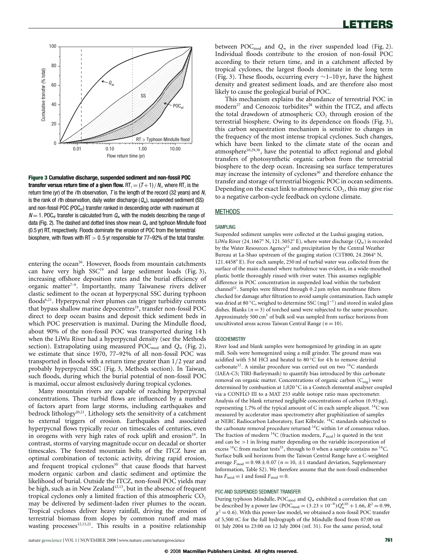

<span id="page-2-0"></span>Figure 3 **Cumulative discharge, suspended sediment and non-fossil POC transfer versus return time of a given flow.**  $RT_i$  = (T + 1) /  $N_i$ , where RT<sub>i</sub> is the return time (yr) of the *i*th observation, *T* is the length of the record (32 years) and  $N_i$ is the rank of *i*th observation, daily water discharge  $(Q_w)$ , suspended sediment (SS) and non-fossil POC (POC $_{\text{nf}}$ ) transfer ranked in descending order with maximum at  $N = 1$ . POC<sub>nf</sub> transfer is calculated from  $Q_w$  with the models describing the range of data (Fig. 2). The dashed and dotted lines show mean  $Q_w$  and typhoon Mindulle flood (0.5 yr) RT, respectively. Floods dominate the erosion of POC from the terrestrial biosphere, with flows with RT  $> 0.5$  yr responsible for 77–92% of the total transfer.

entering the ocean<sup>[26](#page-3-22)</sup>. However, floods from mountain catchments can have very high  $SSC<sup>19</sup>$  $SSC<sup>19</sup>$  $SSC<sup>19</sup>$  and large sediment loads [\(Fig. 3\)](#page-2-0), increasing offshore deposition rates and the burial efficiency of organic matter<sup>7-[9](#page-3-6)</sup>. Importantly, many Taiwanese rivers deliver clastic sediment to the ocean at hyperpycnal SSC during typhoon floods<sup>[6](#page-3-4)[,21](#page-3-17)</sup>. Hyperpycnal river plumes can trigger turbidity currents that bypass shallow marine depocentres<sup>[19](#page-3-16)</sup>, transfer non-fossil POC direct to deep ocean basins and deposit thick sediment beds in which POC preservation is maximal. During the Mindulle flood, about 90% of the non-fossil POC was transported during 14 h when the LiWu River had a hyperpycnal density (see the Methods section). Extrapolating using measured POC<sub>mod</sub> and  $Q_w$  [\(Fig. 2\)](#page-1-1), we estimate that since 1970, 77–92% of all non-fossil POC was transported in floods with a return time greater than 1/2 year and probably hyperpycnal SSC [\(Fig. 3,](#page-2-0) Methods section). In Taiwan, such floods, during which the burial potential of non-fossil POC is maximal, occur almost exclusively during tropical cyclones.

Many mountain rivers are capable of reaching hyperpycnal concentrations. These turbid flows are influenced by a number of factors apart from large storms, including earthquakes and bedrock lithology<sup>[20](#page-3-23)[,21](#page-3-17)</sup>. Lithology sets the sensitivity of a catchment to external triggers of erosion. Earthquakes and associated hyperpycnal flows typically recur on timescales of centuries, even in orogens with very high rates of rock uplift and erosion<sup>[19](#page-3-16)</sup>. In contrast, storms of varying magnitude occur on decadal or shorter timescales. The forested mountain belts of the ITCZ have an optimal combination of tectonic activity, driving rapid erosion, and frequent tropical cyclones<sup>[10](#page-3-7)</sup> that cause floods that harvest modern organic carbon and clastic sediment and optimize the likelihood of burial. Outside the ITCZ, non-fossil POC yields may be high, such as in New Zealand<sup>[12](#page-3-9)[,13](#page-3-10)</sup>, but in the absence of frequent tropical cyclones only a limited fraction of this atmospheric  $CO<sub>2</sub>$ may be delivered by sediment-laden river plumes to the ocean. Tropical cyclones deliver heavy rainfall, driving the erosion of terrestrial biomass from slopes by common runoff and mass wasting processes<sup>[12](#page-3-9)[,13](#page-3-10)[,22](#page-3-18)</sup>. This results in a positive relationship

between POC<sub>mod</sub> and  $Q_w$  in the river suspended load [\(Fig. 2\)](#page-1-1). Individual floods contribute to the erosion of non-fossil POC according to their return time, and in a catchment affected by tropical cyclones, the largest floods dominate in the long term [\(Fig. 3\)](#page-2-0). These floods, occurring every ∼1–10 yr, have the highest density and greatest sediment loads, and are therefore also most likely to cause the geological burial of POC.

This mechanism explains the abundance of terrestrial POC in modern<sup>[27](#page-3-24)</sup> and Cenozoic turbidites<sup>[28](#page-3-25)</sup> within the ITCZ, and affects the total drawdown of atmospheric  $CO<sub>2</sub>$  through erosion of the terrestrial biosphere. Owing to its dependence on floods [\(Fig. 3\)](#page-2-0), this carbon sequestration mechanism is sensitive to changes in the frequency of the most intense tropical cyclones. Such changes, which have been linked to the climate state of the ocean and atmosphere<sup>[10,](#page-3-7)[29](#page-3-26)[,30](#page-3-27)</sup>, have the potential to affect regional and global transfers of photosynthetic organic carbon from the terrestrial biosphere to the deep ocean. Increasing sea surface temperatures may increase the intensity of cyclones<sup>[30](#page-3-27)</sup> and therefore enhance the transfer and storage of terrestrial biogenic POC in ocean sediments. Depending on the exact link to atmospheric  $CO<sub>2</sub>$ , this may give rise to a negative carbon-cycle feedback on cyclone climate.

### **METHODS**

### SAMPLING

Suspended sediment samples were collected at the Lushui gauging station, LiWu River (24.1667° N, 121.5052° E), where water discharge  $(Q_w)$  is recorded by the Water Resources Agency<sup>[31](#page-3-28)</sup> and precipitation by the Central Weather Bureau at La-Shao upstream of the gauging station (C1T800, 24.2064◦ N, 121.4458◦ E). For each sample, 250 ml of turbid water was collected from the surface of the main channel where turbulence was evident, in a wide-mouthed plastic bottle thoroughly rinsed with river water. This assumes negligible difference in POC concentration in suspended load within the turbulent channel[32](#page-3-29). Samples were filtered through 0.2 µm nylon membrane filters checked for damage after filtration to avoid sample contamination. Each sample was dried at 80 °C, weighed to determine SSC (mg l<sup>-1</sup>) and stored in sealed glass dishes. Blanks  $(n=3)$  of torched sand were subjected to the same procedure. Approximately 500  $\text{cm}^3$  of bulk soil was sampled from surface horizons from uncultivated areas across Taiwan Central Range (*n* = 10).

### **GEOCHEMISTRY**

River load and blank samples were homogenized by grinding in an agate mill. Soils were homogenized using a mill grinder. The ground mass was acidified with 5 M HCl and heated to 80 ◦C for 4 h to remove detrital carbonate<sup>[12](#page-3-9)</sup>. A similar procedure was carried out on two <sup>14</sup>C standards (IAEA-C5; TIRI-Barleymash) to quantify bias introduced by this carbonate removal on organic matter. Concentrations of organic carbon  $(C_{org})$  were determined by combustion at 1,020 ◦C in a Costech elemental analyser coupled via a CONFLO III to a MAT 253 stable isotope ratio mass spectrometer. Analysis of the blank returned negligible concentrations of carbon (0.93 µg), representing 1.7% of the typical amount of C in each sample aliquot. <sup>14</sup>C was measured by accelerator mass spectrometry after graphitization of samples at NERC Radiocarbon Laboratory, East Kilbride. <sup>14</sup>C standards subjected to the carbonate removal procedure returned  ${}^{14}$ C within 1 $\sigma$  of consensus values. The fraction of modern  $^{14}$ C (fraction modern,  $F_{\text{mod}}$ ) is quoted in the text and can be >1 in living matter depending on the variable incorporation of excess  ${}^{14}$ C from nuclear tests<sup>[33](#page-3-30)</sup>, through to 0 when a sample contains no  ${}^{14}$ C. Surface bulk soil horizons from the Taiwan Central Range have a C-weighted average  $F_{\text{mod}} = 0.98 \pm 0.07$  ( $n = 10, \pm 1$  standard deviation, Supplementary Information, Table S2). We therefore assume that the non-fossil endmember has  $F_{\text{mod}} = 1$  and fossil  $F_{\text{mod}} = 0$ .

### POC AND SUSPENDED SEDIMENT TRANSFER

During typhoon Mindulle, POC<sub>mod</sub> and Q<sub>w</sub> exhibited a correlation that can be described by a power law (POC<sub>mod</sub> =  $(3.23 \times 10^{-9})Q_w^{4.03}$  + 1.66,  $R^2$  = 0.99,  $\chi^2$  = 0.6). With this power-law model, we obtained a non-fossil POC transfer of 5,500 tC for the full hydrograph of the Mindulle flood from 07:00 on 01 July 2004 to 23:00 on 12 July 2004 (ref. [31\)](#page-3-28). For the same period, total